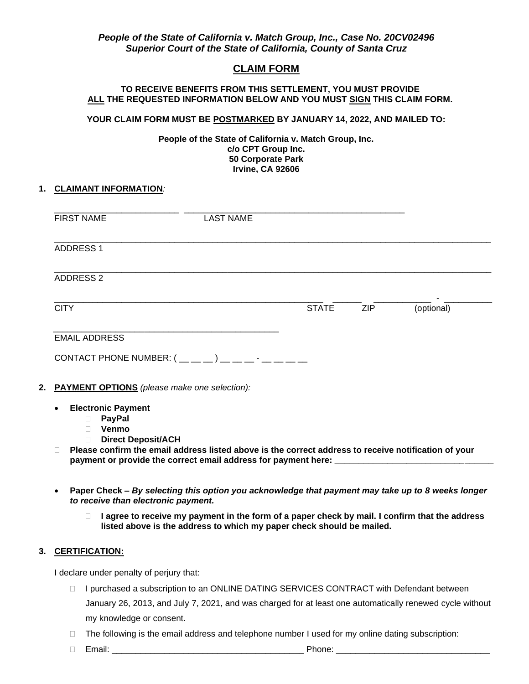## *People of the State of California v. Match Group, Inc., Case No. 20CV02496 Superior Court of the State of California, County of Santa Cruz*

## **CLAIM FORM**

#### **TO RECEIVE BENEFITS FROM THIS SETTLEMENT, YOU MUST PROVIDE ALL THE REQUESTED INFORMATION BELOW AND YOU MUST SIGN THIS CLAIM FORM.**

#### **YOUR CLAIM FORM MUST BE POSTMARKED BY JANUARY 14, 2022, AND MAILED TO:**

**People of the State of California v. Match Group, Inc. c/o CPT Group Inc. 50 Corporate Park Irvine, CA 92606**

#### **1. CLAIMANT INFORMATION***:*

| <b>FIRST NAME</b>                                                                                                       | <b>LAST NAME</b>                                                                                                                                                                         |              |     |            |
|-------------------------------------------------------------------------------------------------------------------------|------------------------------------------------------------------------------------------------------------------------------------------------------------------------------------------|--------------|-----|------------|
| <b>ADDRESS 1</b>                                                                                                        |                                                                                                                                                                                          |              |     |            |
| <b>ADDRESS 2</b>                                                                                                        |                                                                                                                                                                                          |              |     |            |
| <b>CITY</b>                                                                                                             |                                                                                                                                                                                          | <b>STATE</b> | ZIP | (optional) |
| <b>EMAIL ADDRESS</b>                                                                                                    | CONTACT PHONE NUMBER: $($ __ _ _ _ ) _ _ _ _ - _ _ _ _ _                                                                                                                                 |              |     |            |
| <b>PAYMENT OPTIONS</b> (please make one selection):                                                                     |                                                                                                                                                                                          |              |     |            |
| <b>Electronic Payment</b><br>$\bullet$<br><b>PayPal</b><br>n.<br>Venmo<br>$\Box$<br><b>Direct Deposit/ACH</b><br>$\Box$ |                                                                                                                                                                                          |              |     |            |
| $\Box$                                                                                                                  | Please confirm the email address listed above is the correct address to receive notification of your<br>payment or provide the correct email address for payment here: _________________ |              |     |            |

- **Paper Check –** *By selecting this option you acknowledge that payment may take up to 8 weeks longer to receive than electronic payment.*
	- **I agree to receive my payment in the form of a paper check by mail. I confirm that the address listed above is the address to which my paper check should be mailed.**

### **3. CERTIFICATION:**

I declare under penalty of perjury that:

- □ I purchased a subscription to an ONLINE DATING SERVICES CONTRACT with Defendant between January 26, 2013, and July 7, 2021, and was charged for at least one automatically renewed cycle without my knowledge or consent.
- $\Box$  The following is the email address and telephone number I used for my online dating subscription:
- Email: \_\_\_\_\_\_\_\_\_\_\_\_\_\_\_\_\_\_\_\_\_\_\_\_\_\_\_\_\_\_\_\_\_\_\_\_\_\_\_\_ Phone: \_\_\_\_\_\_\_\_\_\_\_\_\_\_\_\_\_\_\_\_\_\_\_\_\_\_\_\_\_\_\_\_